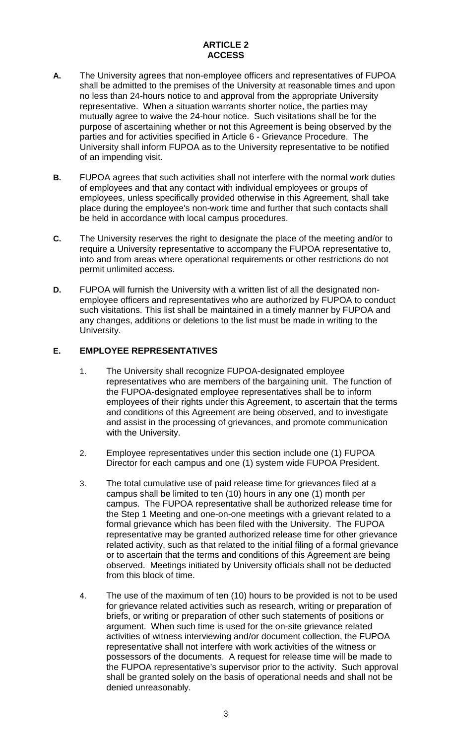# **ARTICLE 2 ACCESS**

- **A.** The University agrees that non-employee officers and representatives of FUPOA shall be admitted to the premises of the University at reasonable times and upon no less than 24-hours notice to and approval from the appropriate University representative. When a situation warrants shorter notice, the parties may mutually agree to waive the 24-hour notice. Such visitations shall be for the purpose of ascertaining whether or not this Agreement is being observed by the parties and for activities specified in Article 6 - Grievance Procedure. The University shall inform FUPOA as to the University representative to be notified of an impending visit.
- **B.** FUPOA agrees that such activities shall not interfere with the normal work duties of employees and that any contact with individual employees or groups of employees, unless specifically provided otherwise in this Agreement, shall take place during the employee's non-work time and further that such contacts shall be held in accordance with local campus procedures.
- **C.** The University reserves the right to designate the place of the meeting and/or to require a University representative to accompany the FUPOA representative to, into and from areas where operational requirements or other restrictions do not permit unlimited access.
- **D.** FUPOA will furnish the University with a written list of all the designated nonemployee officers and representatives who are authorized by FUPOA to conduct such visitations. This list shall be maintained in a timely manner by FUPOA and any changes, additions or deletions to the list must be made in writing to the University.

## **E. EMPLOYEE REPRESENTATIVES**

- 1. The University shall recognize FUPOA-designated employee representatives who are members of the bargaining unit. The function of the FUPOA-designated employee representatives shall be to inform employees of their rights under this Agreement, to ascertain that the terms and conditions of this Agreement are being observed, and to investigate and assist in the processing of grievances, and promote communication with the University.
- 2. Employee representatives under this section include one (1) FUPOA Director for each campus and one (1) system wide FUPOA President.
- 3. The total cumulative use of paid release time for grievances filed at a campus shall be limited to ten (10) hours in any one (1) month per campus. The FUPOA representative shall be authorized release time for the Step 1 Meeting and one-on-one meetings with a grievant related to a formal grievance which has been filed with the University. The FUPOA representative may be granted authorized release time for other grievance related activity, such as that related to the initial filing of a formal grievance or to ascertain that the terms and conditions of this Agreement are being observed. Meetings initiated by University officials shall not be deducted from this block of time.
- 4. The use of the maximum of ten (10) hours to be provided is not to be used for grievance related activities such as research, writing or preparation of briefs, or writing or preparation of other such statements of positions or argument. When such time is used for the on-site grievance related activities of witness interviewing and/or document collection, the FUPOA representative shall not interfere with work activities of the witness or possessors of the documents. A request for release time will be made to the FUPOA representative's supervisor prior to the activity. Such approval shall be granted solely on the basis of operational needs and shall not be denied unreasonably.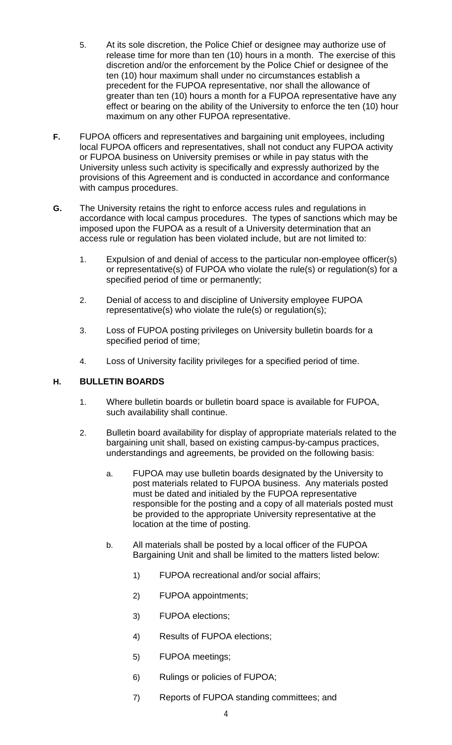- 5. At its sole discretion, the Police Chief or designee may authorize use of release time for more than ten (10) hours in a month. The exercise of this discretion and/or the enforcement by the Police Chief or designee of the ten (10) hour maximum shall under no circumstances establish a precedent for the FUPOA representative, nor shall the allowance of greater than ten (10) hours a month for a FUPOA representative have any effect or bearing on the ability of the University to enforce the ten (10) hour maximum on any other FUPOA representative.
- **F.** FUPOA officers and representatives and bargaining unit employees, including local FUPOA officers and representatives, shall not conduct any FUPOA activity or FUPOA business on University premises or while in pay status with the University unless such activity is specifically and expressly authorized by the provisions of this Agreement and is conducted in accordance and conformance with campus procedures.
- **G.** The University retains the right to enforce access rules and regulations in accordance with local campus procedures. The types of sanctions which may be imposed upon the FUPOA as a result of a University determination that an access rule or regulation has been violated include, but are not limited to:
	- 1. Expulsion of and denial of access to the particular non-employee officer(s) or representative(s) of FUPOA who violate the rule(s) or regulation(s) for a specified period of time or permanently;
	- 2. Denial of access to and discipline of University employee FUPOA representative(s) who violate the rule(s) or regulation(s);
	- 3. Loss of FUPOA posting privileges on University bulletin boards for a specified period of time;
	- 4. Loss of University facility privileges for a specified period of time.

## **H. BULLETIN BOARDS**

- 1. Where bulletin boards or bulletin board space is available for FUPOA, such availability shall continue.
- 2. Bulletin board availability for display of appropriate materials related to the bargaining unit shall, based on existing campus-by-campus practices, understandings and agreements, be provided on the following basis:
	- a. FUPOA may use bulletin boards designated by the University to post materials related to FUPOA business. Any materials posted must be dated and initialed by the FUPOA representative responsible for the posting and a copy of all materials posted must be provided to the appropriate University representative at the location at the time of posting.
	- b. All materials shall be posted by a local officer of the FUPOA Bargaining Unit and shall be limited to the matters listed below:
		- 1) FUPOA recreational and/or social affairs;
		- 2) FUPOA appointments;
		- 3) FUPOA elections;
		- 4) Results of FUPOA elections;
		- 5) FUPOA meetings;
		- 6) Rulings or policies of FUPOA;
		- 7) Reports of FUPOA standing committees; and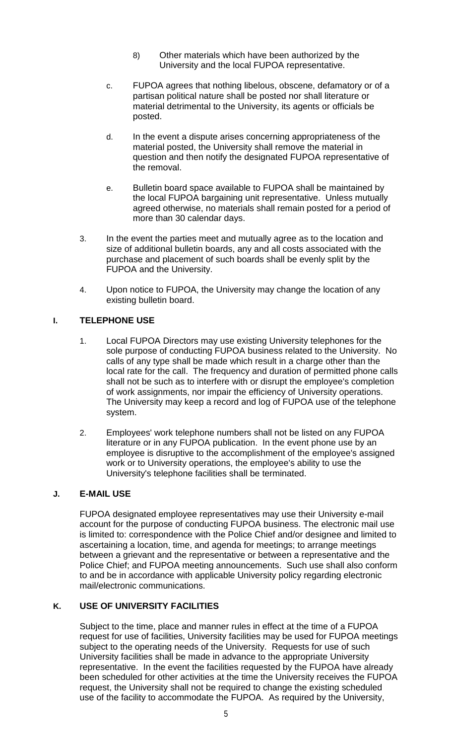- 8) Other materials which have been authorized by the University and the local FUPOA representative.
- c. FUPOA agrees that nothing libelous, obscene, defamatory or of a partisan political nature shall be posted nor shall literature or material detrimental to the University, its agents or officials be posted.
- d. In the event a dispute arises concerning appropriateness of the material posted, the University shall remove the material in question and then notify the designated FUPOA representative of the removal.
- e. Bulletin board space available to FUPOA shall be maintained by the local FUPOA bargaining unit representative. Unless mutually agreed otherwise, no materials shall remain posted for a period of more than 30 calendar days.
- 3. In the event the parties meet and mutually agree as to the location and size of additional bulletin boards, any and all costs associated with the purchase and placement of such boards shall be evenly split by the FUPOA and the University.
- 4. Upon notice to FUPOA, the University may change the location of any existing bulletin board.

# **I. TELEPHONE USE**

- 1. Local FUPOA Directors may use existing University telephones for the sole purpose of conducting FUPOA business related to the University. No calls of any type shall be made which result in a charge other than the local rate for the call. The frequency and duration of permitted phone calls shall not be such as to interfere with or disrupt the employee's completion of work assignments, nor impair the efficiency of University operations. The University may keep a record and log of FUPOA use of the telephone system.
- 2. Employees' work telephone numbers shall not be listed on any FUPOA literature or in any FUPOA publication. In the event phone use by an employee is disruptive to the accomplishment of the employee's assigned work or to University operations, the employee's ability to use the University's telephone facilities shall be terminated.

## **J. E-MAIL USE**

FUPOA designated employee representatives may use their University e-mail account for the purpose of conducting FUPOA business. The electronic mail use is limited to: correspondence with the Police Chief and/or designee and limited to ascertaining a location, time, and agenda for meetings; to arrange meetings between a grievant and the representative or between a representative and the Police Chief; and FUPOA meeting announcements. Such use shall also conform to and be in accordance with applicable University policy regarding electronic mail/electronic communications.

## **K. USE OF UNIVERSITY FACILITIES**

Subject to the time, place and manner rules in effect at the time of a FUPOA request for use of facilities, University facilities may be used for FUPOA meetings subject to the operating needs of the University. Requests for use of such University facilities shall be made in advance to the appropriate University representative. In the event the facilities requested by the FUPOA have already been scheduled for other activities at the time the University receives the FUPOA request, the University shall not be required to change the existing scheduled use of the facility to accommodate the FUPOA. As required by the University,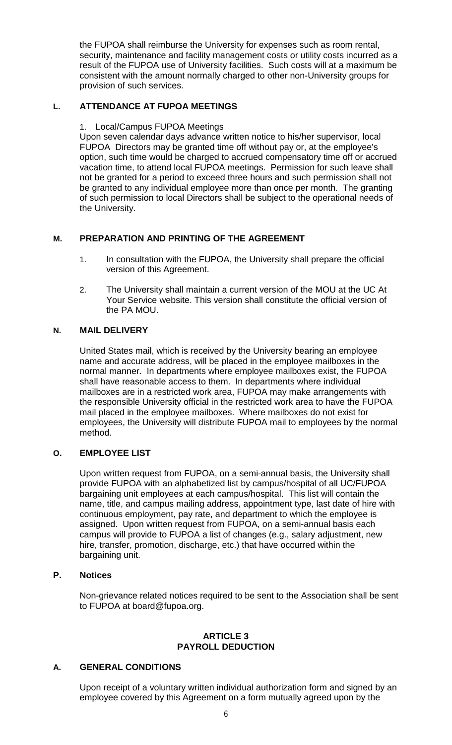the FUPOA shall reimburse the University for expenses such as room rental, security, maintenance and facility management costs or utility costs incurred as a result of the FUPOA use of University facilities. Such costs will at a maximum be consistent with the amount normally charged to other non-University groups for provision of such services.

# **L. ATTENDANCE AT FUPOA MEETINGS**

#### 1. Local/Campus FUPOA Meetings

Upon seven calendar days advance written notice to his/her supervisor, local FUPOA Directors may be granted time off without pay or, at the employee's option, such time would be charged to accrued compensatory time off or accrued vacation time, to attend local FUPOA meetings. Permission for such leave shall not be granted for a period to exceed three hours and such permission shall not be granted to any individual employee more than once per month. The granting of such permission to local Directors shall be subject to the operational needs of the University.

## **M. PREPARATION AND PRINTING OF THE AGREEMENT**

- 1. In consultation with the FUPOA, the University shall prepare the official version of this Agreement.
- 2. The University shall maintain a current version of the MOU at the UC At Your Service website. This version shall constitute the official version of the PA MOU.

## **N. MAIL DELIVERY**

United States mail, which is received by the University bearing an employee name and accurate address, will be placed in the employee mailboxes in the normal manner. In departments where employee mailboxes exist, the FUPOA shall have reasonable access to them. In departments where individual mailboxes are in a restricted work area, FUPOA may make arrangements with the responsible University official in the restricted work area to have the FUPOA mail placed in the employee mailboxes. Where mailboxes do not exist for employees, the University will distribute FUPOA mail to employees by the normal method.

## **O. EMPLOYEE LIST**

Upon written request from FUPOA, on a semi-annual basis, the University shall provide FUPOA with an alphabetized list by campus/hospital of all UC/FUPOA bargaining unit employees at each campus/hospital. This list will contain the name, title, and campus mailing address, appointment type, last date of hire with continuous employment, pay rate, and department to which the employee is assigned. Upon written request from FUPOA, on a semi-annual basis each campus will provide to FUPOA a list of changes (e.g., salary adjustment, new hire, transfer, promotion, discharge, etc.) that have occurred within the bargaining unit.

## **P. Notices**

Non-grievance related notices required to be sent to the Association shall be sent to FUPOA at board@fupoa.org.

#### **ARTICLE 3 PAYROLL DEDUCTION**

## **A. GENERAL CONDITIONS**

Upon receipt of a voluntary written individual authorization form and signed by an employee covered by this Agreement on a form mutually agreed upon by the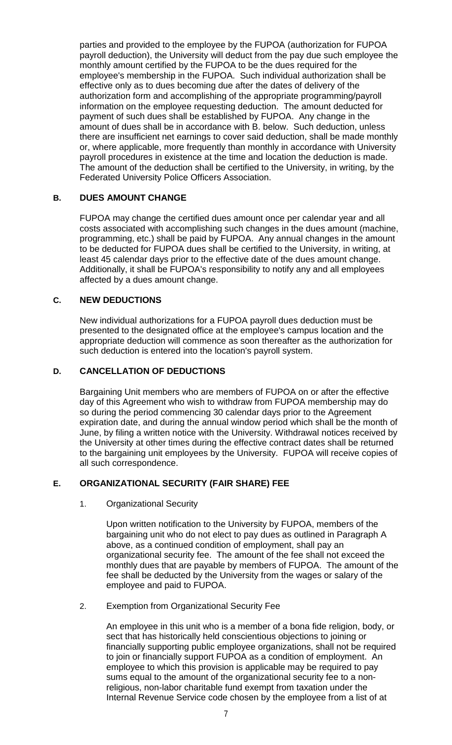parties and provided to the employee by the FUPOA (authorization for FUPOA payroll deduction), the University will deduct from the pay due such employee the monthly amount certified by the FUPOA to be the dues required for the employee's membership in the FUPOA. Such individual authorization shall be effective only as to dues becoming due after the dates of delivery of the authorization form and accomplishing of the appropriate programming/payroll information on the employee requesting deduction. The amount deducted for payment of such dues shall be established by FUPOA. Any change in the amount of dues shall be in accordance with B. below. Such deduction, unless there are insufficient net earnings to cover said deduction, shall be made monthly or, where applicable, more frequently than monthly in accordance with University payroll procedures in existence at the time and location the deduction is made. The amount of the deduction shall be certified to the University, in writing, by the Federated University Police Officers Association.

## **B. DUES AMOUNT CHANGE**

FUPOA may change the certified dues amount once per calendar year and all costs associated with accomplishing such changes in the dues amount (machine, programming, etc.) shall be paid by FUPOA. Any annual changes in the amount to be deducted for FUPOA dues shall be certified to the University, in writing, at least 45 calendar days prior to the effective date of the dues amount change. Additionally, it shall be FUPOA's responsibility to notify any and all employees affected by a dues amount change.

#### **C. NEW DEDUCTIONS**

New individual authorizations for a FUPOA payroll dues deduction must be presented to the designated office at the employee's campus location and the appropriate deduction will commence as soon thereafter as the authorization for such deduction is entered into the location's payroll system.

#### **D. CANCELLATION OF DEDUCTIONS**

Bargaining Unit members who are members of FUPOA on or after the effective day of this Agreement who wish to withdraw from FUPOA membership may do so during the period commencing 30 calendar days prior to the Agreement expiration date, and during the annual window period which shall be the month of June, by filing a written notice with the University. Withdrawal notices received by the University at other times during the effective contract dates shall be returned to the bargaining unit employees by the University. FUPOA will receive copies of all such correspondence.

#### **E. ORGANIZATIONAL SECURITY (FAIR SHARE) FEE**

1. Organizational Security

Upon written notification to the University by FUPOA, members of the bargaining unit who do not elect to pay dues as outlined in Paragraph A above, as a continued condition of employment, shall pay an organizational security fee. The amount of the fee shall not exceed the monthly dues that are payable by members of FUPOA. The amount of the fee shall be deducted by the University from the wages or salary of the employee and paid to FUPOA.

2. Exemption from Organizational Security Fee

An employee in this unit who is a member of a bona fide religion, body, or sect that has historically held conscientious objections to joining or financially supporting public employee organizations, shall not be required to join or financially support FUPOA as a condition of employment. An employee to which this provision is applicable may be required to pay sums equal to the amount of the organizational security fee to a nonreligious, non-labor charitable fund exempt from taxation under the Internal Revenue Service code chosen by the employee from a list of at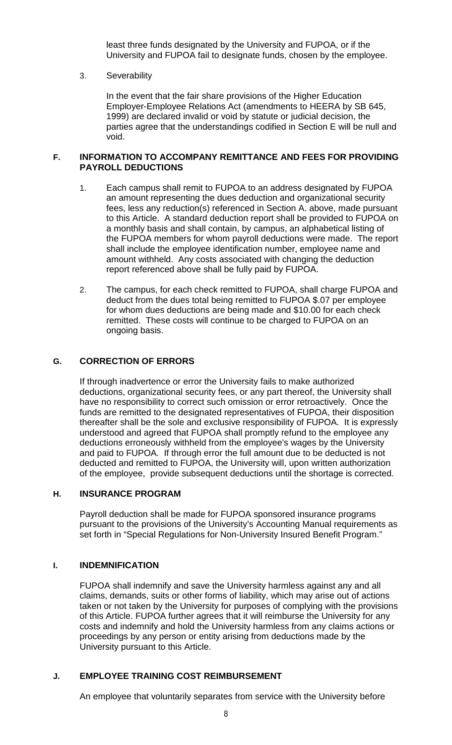least three funds designated by the University and FUPOA, or if the University and FUPOA fail to designate funds, chosen by the employee.

#### 3. Severability

In the event that the fair share provisions of the Higher Education Employer-Employee Relations Act (amendments to HEERA by SB 645, 1999) are declared invalid or void by statute or judicial decision, the parties agree that the understandings codified in Section E will be null and void.

#### **F. INFORMATION TO ACCOMPANY REMITTANCE AND FEES FOR PROVIDING PAYROLL DEDUCTIONS**

- 1. Each campus shall remit to FUPOA to an address designated by FUPOA an amount representing the dues deduction and organizational security fees, less any reduction(s) referenced in Section A. above, made pursuant to this Article. A standard deduction report shall be provided to FUPOA on a monthly basis and shall contain, by campus, an alphabetical listing of the FUPOA members for whom payroll deductions were made. The report shall include the employee identification number, employee name and amount withheld. Any costs associated with changing the deduction report referenced above shall be fully paid by FUPOA.
- 2. The campus, for each check remitted to FUPOA, shall charge FUPOA and deduct from the dues total being remitted to FUPOA \$.07 per employee for whom dues deductions are being made and \$10.00 for each check remitted. These costs will continue to be charged to FUPOA on an ongoing basis.

## **G. CORRECTION OF ERRORS**

If through inadvertence or error the University fails to make authorized deductions, organizational security fees, or any part thereof, the University shall have no responsibility to correct such omission or error retroactively. Once the funds are remitted to the designated representatives of FUPOA, their disposition thereafter shall be the sole and exclusive responsibility of FUPOA. It is expressly understood and agreed that FUPOA shall promptly refund to the employee any deductions erroneously withheld from the employee's wages by the University and paid to FUPOA. If through error the full amount due to be deducted is not deducted and remitted to FUPOA, the University will, upon written authorization of the employee, provide subsequent deductions until the shortage is corrected.

## **H. INSURANCE PROGRAM**

Payroll deduction shall be made for FUPOA sponsored insurance programs pursuant to the provisions of the University's Accounting Manual requirements as set forth in "Special Regulations for Non-University Insured Benefit Program."

#### **I. INDEMNIFICATION**

FUPOA shall indemnify and save the University harmless against any and all claims, demands, suits or other forms of liability, which may arise out of actions taken or not taken by the University for purposes of complying with the provisions of this Article. FUPOA further agrees that it will reimburse the University for any costs and indemnify and hold the University harmless from any claims actions or proceedings by any person or entity arising from deductions made by the University pursuant to this Article.

#### **J. EMPLOYEE TRAINING COST REIMBURSEMENT**

An employee that voluntarily separates from service with the University before